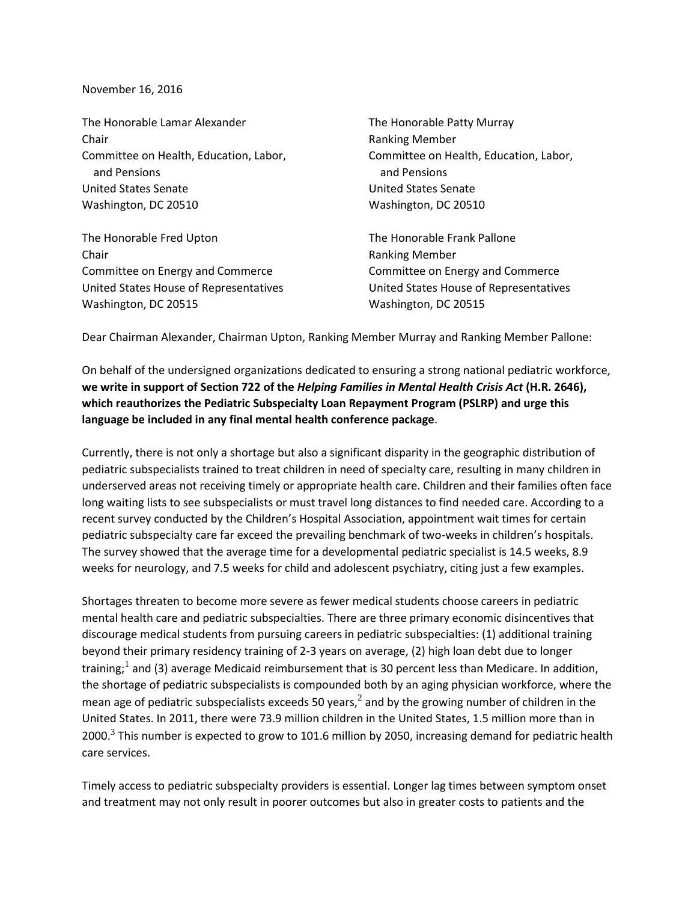## November 16, 2016

The Honorable Lamar Alexander The Honorable Patty Murray Chair **Chair Chair Chair Chair Chair Chair Chair Chair Chair Chair Chair Chair Chair Chair Chair Chair Chair Chair Chair Chair Chair Chair Chair Chair Chair Chair Chair** Committee on Health, Education, Labor, Committee on Health, Education, Labor, and Pensions and Pensions United States Senate United States Senate Washington, DC 20510 Washington, DC 20510

The Honorable Fred Upton The Honorable Frank Pallone **Chair Chair Chair Chair Chair Chair Chair Chair Chair Chair Chair Chair Chair Chair Chair Chair Chair Chair Chair Chair Chair Chair Chair Chair Chair Chair Chair Chair** Committee on Energy and Commerce Committee on Energy and Commerce United States House of Representatives United States House of Representatives Washington, DC 20515 Washington, DC 20515

Dear Chairman Alexander, Chairman Upton, Ranking Member Murray and Ranking Member Pallone:

On behalf of the undersigned organizations dedicated to ensuring a strong national pediatric workforce, **we write in support of Section 722 of the** *Helping Families in Mental Health Crisis Act* **(H.R. 2646), which reauthorizes the Pediatric Subspecialty Loan Repayment Program (PSLRP) and urge this language be included in any final mental health conference package**.

Currently, there is not only a shortage but also a significant disparity in the geographic distribution of pediatric subspecialists trained to treat children in need of specialty care, resulting in many children in underserved areas not receiving timely or appropriate health care. Children and their families often face long waiting lists to see subspecialists or must travel long distances to find needed care. According to a recent survey conducted by the Children's Hospital Association, appointment wait times for certain pediatric subspecialty care far exceed the prevailing benchmark of two-weeks in children's hospitals. The survey showed that the average time for a developmental pediatric specialist is 14.5 weeks, 8.9 weeks for neurology, and 7.5 weeks for child and adolescent psychiatry, citing just a few examples.

Shortages threaten to become more severe as fewer medical students choose careers in pediatric mental health care and pediatric subspecialties. There are three primary economic disincentives that discourage medical students from pursuing careers in pediatric subspecialties: (1) additional training beyond their primary residency training of 2-3 years on average, (2) high loan debt due to longer training;<sup>1</sup> and (3) average Medicaid reimbursement that is 30 percent less than Medicare. In addition, the shortage of pediatric subspecialists is compounded both by an aging physician workforce, where the mean age of pediatric subspecialists exceeds 50 years,<sup>2</sup> and by the growing number of children in the United States. In 2011, there were 73.9 million children in the United States, 1.5 million more than in 2000.<sup>3</sup> This number is expected to grow to 101.6 million by 2050, increasing demand for pediatric health care services.

Timely access to pediatric subspecialty providers is essential. Longer lag times between symptom onset and treatment may not only result in poorer outcomes but also in greater costs to patients and the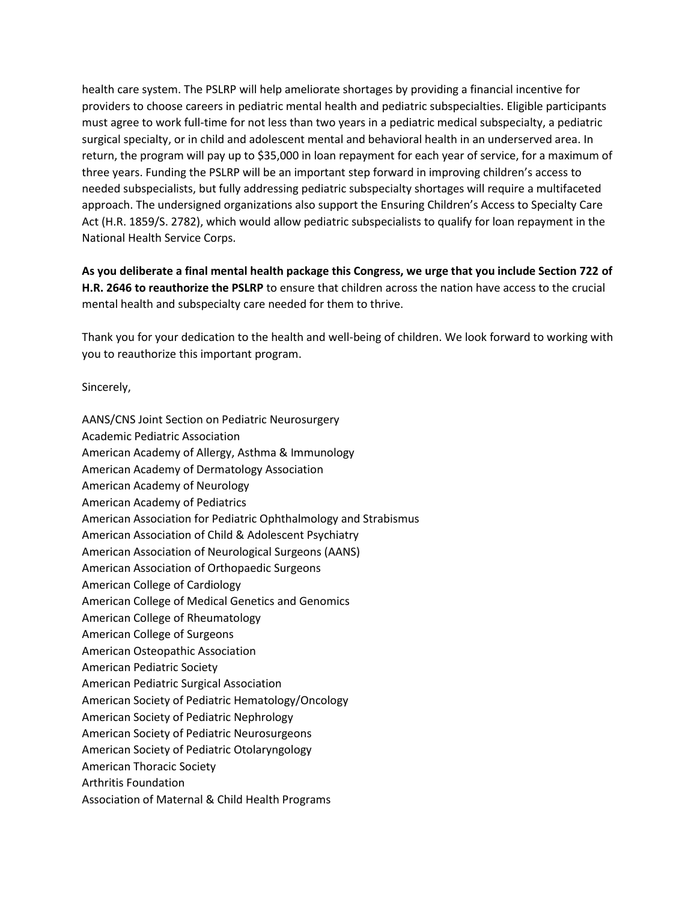health care system. The PSLRP will help ameliorate shortages by providing a financial incentive for providers to choose careers in pediatric mental health and pediatric subspecialties. Eligible participants must agree to work full-time for not less than two years in a pediatric medical subspecialty, a pediatric surgical specialty, or in child and adolescent mental and behavioral health in an underserved area. In return, the program will pay up to \$35,000 in loan repayment for each year of service, for a maximum of three years. Funding the PSLRP will be an important step forward in improving children's access to needed subspecialists, but fully addressing pediatric subspecialty shortages will require a multifaceted approach. The undersigned organizations also support the Ensuring Children's Access to Specialty Care Act (H.R. 1859/S. 2782), which would allow pediatric subspecialists to qualify for loan repayment in the National Health Service Corps.

**As you deliberate a final mental health package this Congress, we urge that you include Section 722 of H.R. 2646 to reauthorize the PSLRP** to ensure that children across the nation have access to the crucial mental health and subspecialty care needed for them to thrive.

Thank you for your dedication to the health and well-being of children. We look forward to working with you to reauthorize this important program.

Sincerely,

AANS/CNS Joint Section on Pediatric Neurosurgery Academic Pediatric Association American Academy of Allergy, Asthma & Immunology American Academy of Dermatology Association American Academy of Neurology American Academy of Pediatrics American Association for Pediatric Ophthalmology and Strabismus American Association of Child & Adolescent Psychiatry American Association of Neurological Surgeons (AANS) American Association of Orthopaedic Surgeons American College of Cardiology American College of Medical Genetics and Genomics American College of Rheumatology American College of Surgeons American Osteopathic Association American Pediatric Society American Pediatric Surgical Association American Society of Pediatric Hematology/Oncology American Society of Pediatric Nephrology American Society of Pediatric Neurosurgeons American Society of Pediatric Otolaryngology American Thoracic Society Arthritis Foundation Association of Maternal & Child Health Programs